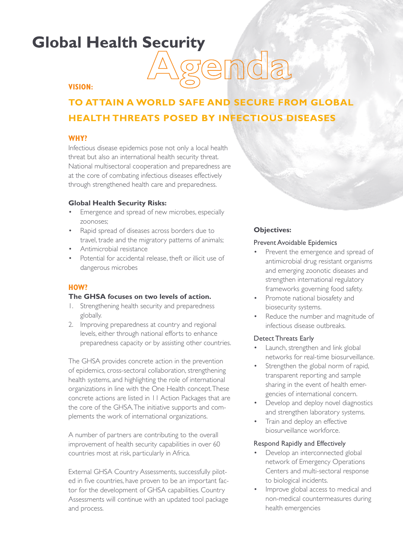# **Global Health Security**



# **VISION:**

# **TO ATTAIN A WORLD SAFE AND SECURE FROM GLOBAL HEALTH THREATS POSED BY INFECTIOUS DISEASES**

# **WHY?**

Infectious disease epidemics pose not only a local health threat but also an international health security threat. National multisectoral cooperation and preparedness are at the core of combating infectious diseases effectively through strengthened health care and preparedness.

#### **Global Health Security Risks:**

- Emergence and spread of new microbes, especially zoonoses;
- Rapid spread of diseases across borders due to travel, trade and the migratory patterns of animals;
- Antimicrobial resistance
- Potential for accidental release, theft or illicit use of dangerous microbes

# **HOW?**

#### **The GHSA focuses on two levels of action.**

- 1. Strengthening health security and preparedness globally.
- 2. Improving preparedness at country and regional levels, either through national efforts to enhance preparedness capacity or by assisting other countries.

The GHSA provides concrete action in the prevention of epidemics, cross-sectoral collaboration, strengthening health systems, and highlighting the role of international organizations in line with the One Health concept. These concrete actions are listed in 11 Action Packages that are the core of the GHSA. The initiative supports and complements the work of international organizations.

A number of partners are contributing to the overall improvement of health security capabilities in over 60 countries most at risk, particularly in Africa.

External GHSA Country Assessments, successfully piloted in five countries, have proven to be an important factor for the development of GHSA capabilities. Country Assessments will continue with an updated tool package and process.

# **Objectives:**

#### Prevent Avoidable Epidemics

- Prevent the emergence and spread of antimicrobial drug resistant organisms and emerging zoonotic diseases and strengthen international regulatory frameworks governing food safety.
- Promote national biosafety and biosecurity systems.
- Reduce the number and magnitude of infectious disease outbreaks.

#### Detect Threats Early

- Launch, strengthen and link global networks for real-time biosurveillance.
- Strengthen the global norm of rapid, transparent reporting and sample sharing in the event of health emergencies of international concern.
- Develop and deploy novel diagnostics and strengthen laboratory systems.
- Train and deploy an effective biosurveillance workforce.

#### Respond Rapidly and Effectively

- Develop an interconnected global network of Emergency Operations Centers and multi-sectoral response to biological incidents.
- Improve global access to medical and non-medical countermeasures during health emergencies